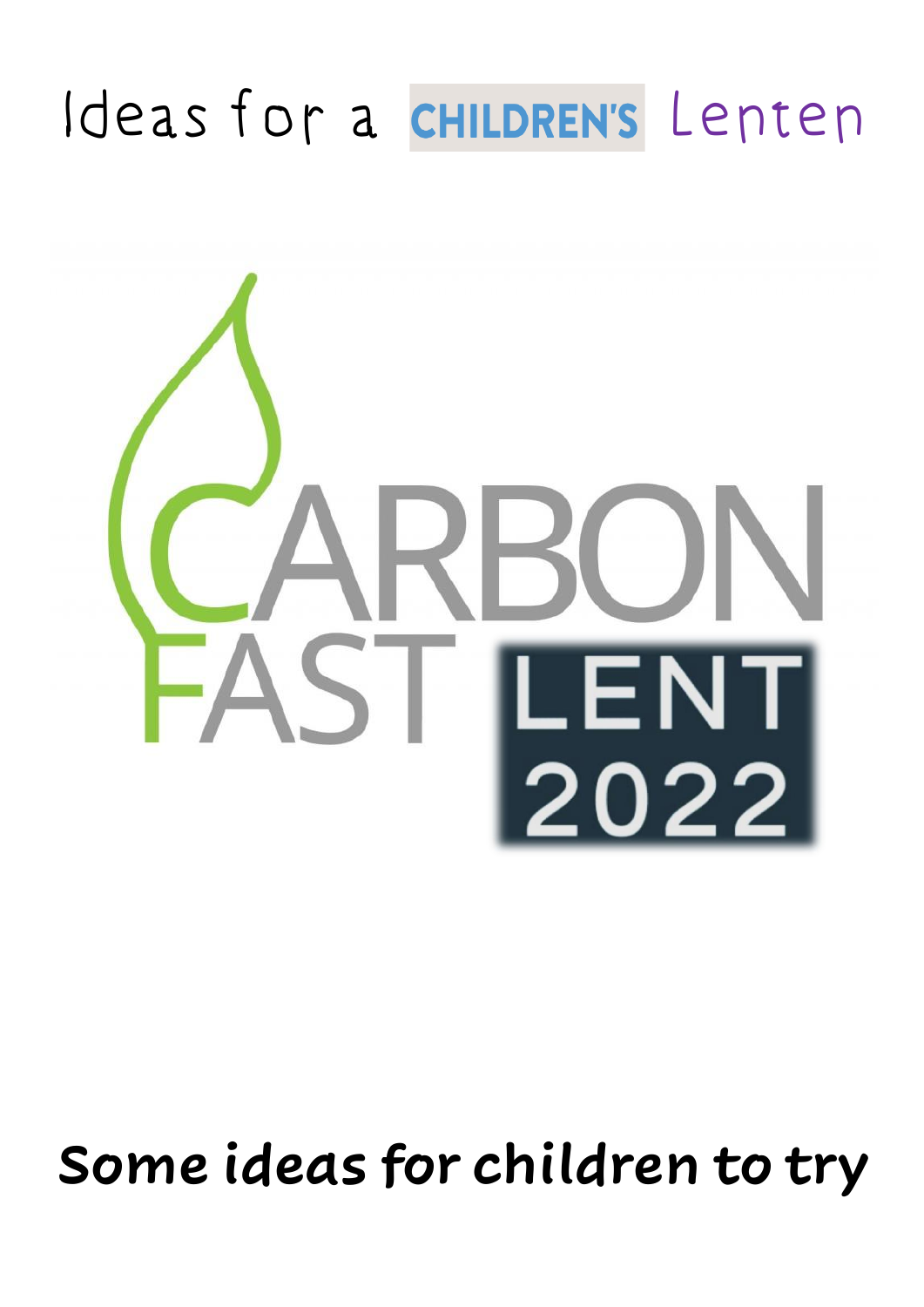## Ideas for a CHILDREN's Lenten



## **Some ideas for children to try**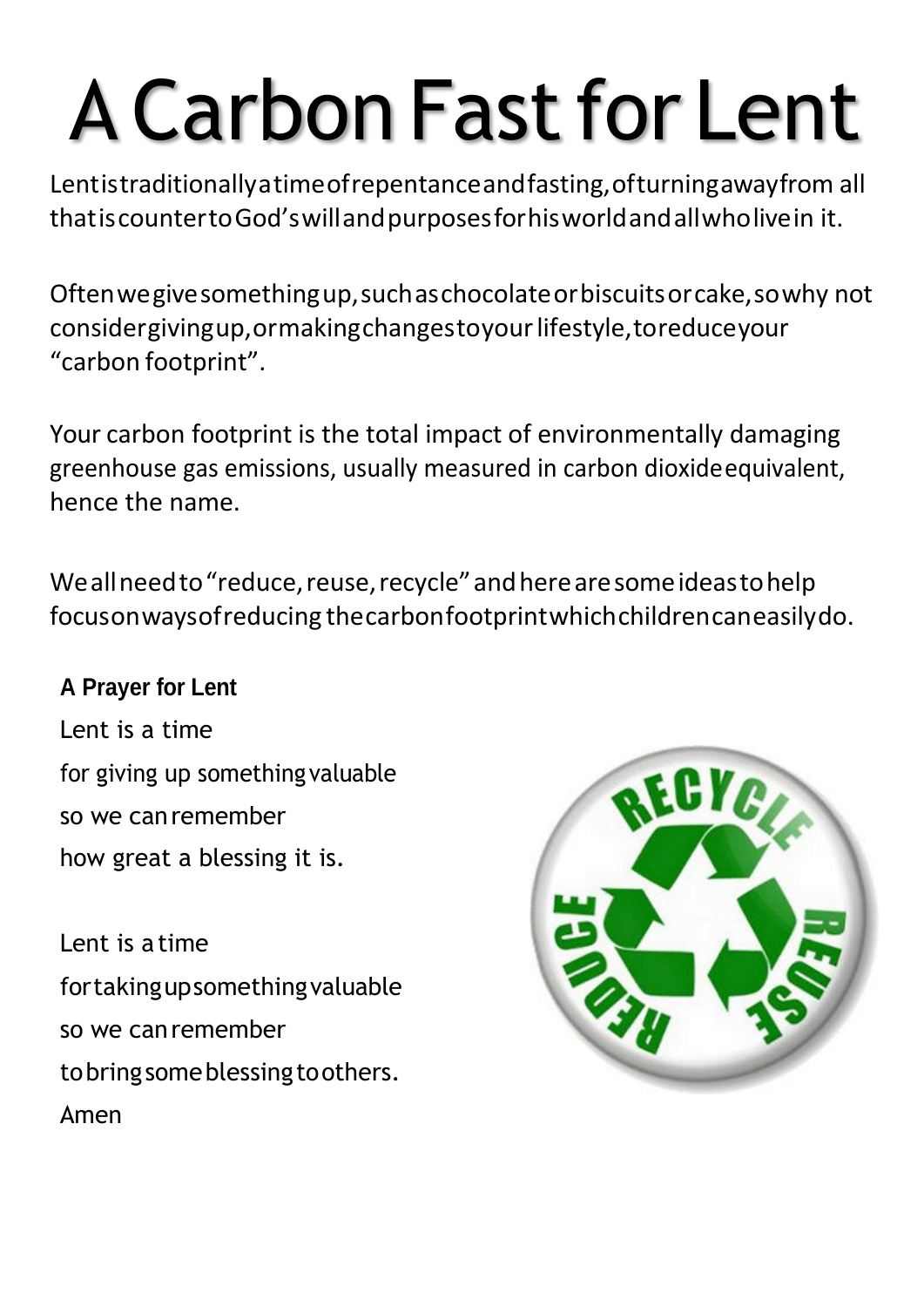# A Carbon Fastfor Lent

Lentistraditionallyatimeofrepentanceandfasting,ofturningawayfrom all thatiscountertoGod'swillandpurposesforhisworldandallwholivein it.

Oftenwegivesomethingup,suchaschocolateorbiscuitsorcake,sowhy not considergivingup,ormakingchangestoyourlifestyle,toreduceyour "carbon footprint".

Your carbon footprint is the total impact of environmentally damaging greenhouse gas emissions, usually measured in carbon dioxideequivalent, hence the name.

Weallneed to "reduce, reuse, recycle" and here are some ideas to help focusonwaysofreducing thecarbonfootprintwhichchildrencaneasilydo.

#### **A Prayer for Lent**

Lent is a time for giving up something valuable so we canremember how great a blessing it is.

Lent is a time fortakingupsomethingvaluable so we canremember to bring some blessing to others. Amen

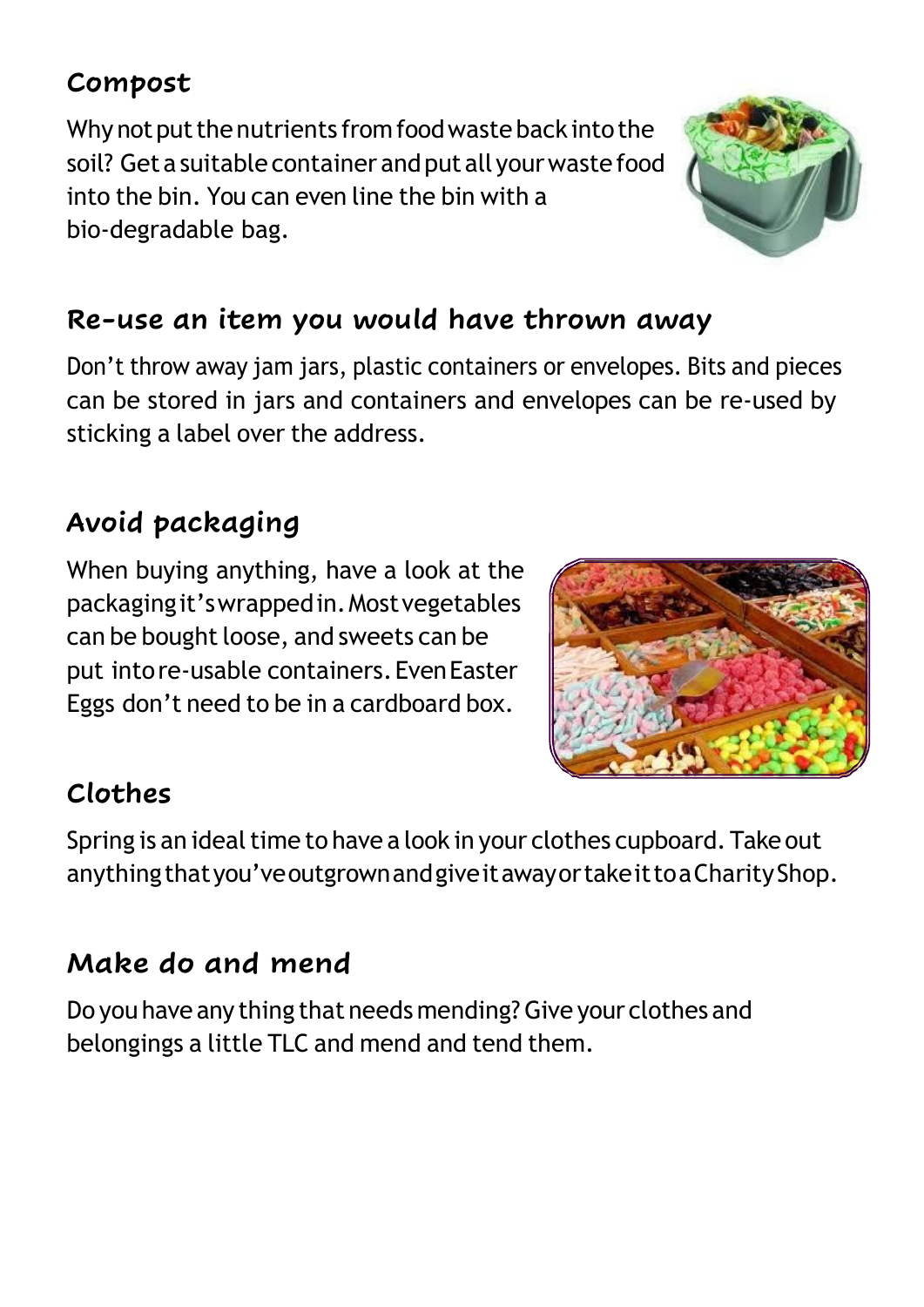#### **Compost**

Why not put the nutrients from food waste back into the soil? Get a suitable container and put all your waste food into the bin. You can even line the bin with a bio-degradable bag.

#### **Re-use an item you would have thrown away**

Don't throw away jam jars, plastic containers or envelopes. Bits and pieces can be stored in jars and containers and envelopes can be re-used by sticking a label over the address.

#### **Avoid packaging**

When buying anything, have a look at the packagingit'swrappedin.Mostvegetables can be bought loose, and sweets can be put intore-usable containers.EvenEaster Eggs don't need to be in a cardboard box.



#### **Clothes**

Spring is an ideal time to have a look in your clothes cupboard. Take out anything that you've outgrown and give it away or take it to a Charity Shop.

#### **Make do and mend**

Do you have any thing that needs mending?Give your clothes and belongings a little TLC and mend and tend them.

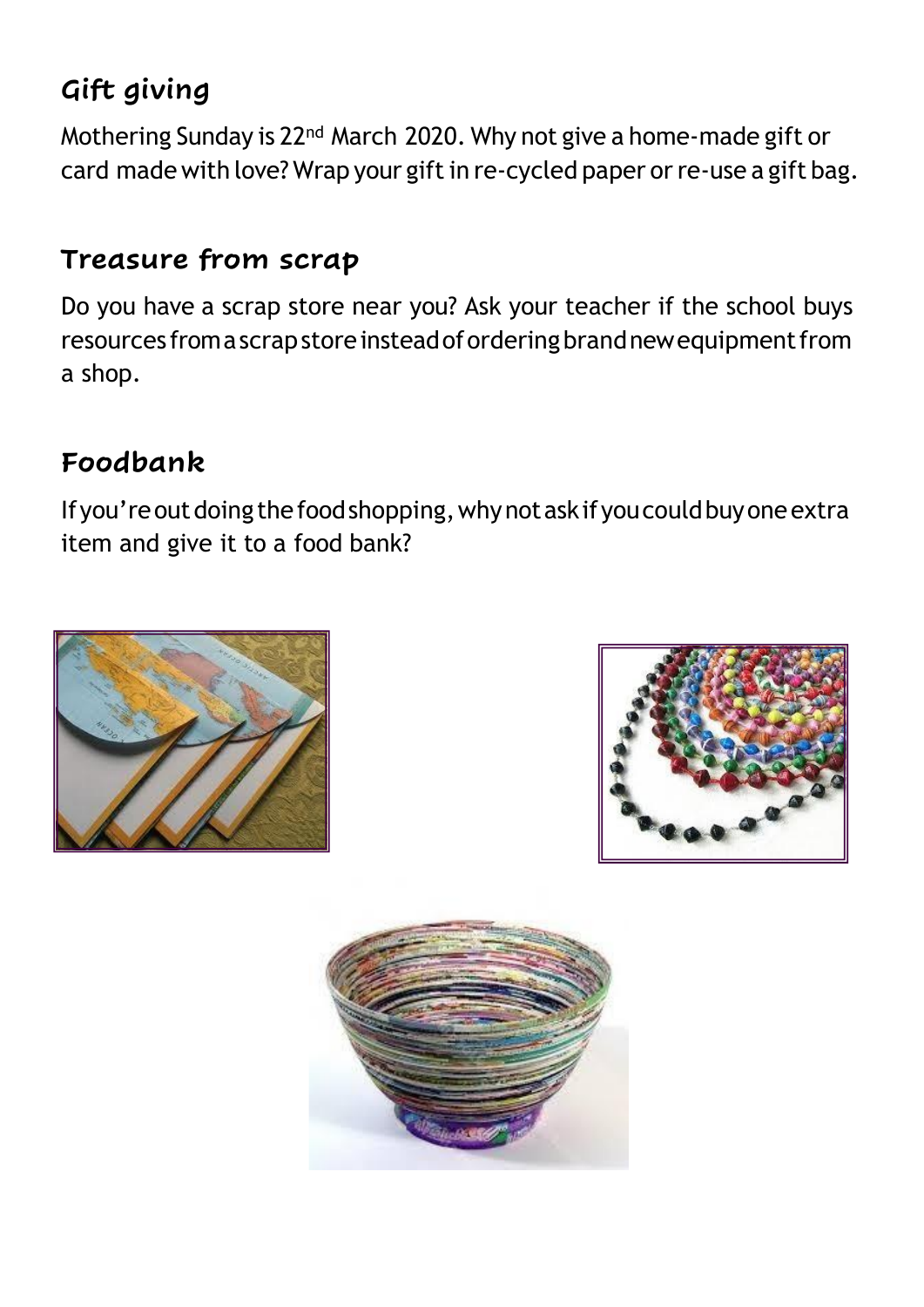#### **Gift giving**

Mothering Sunday is 22nd March 2020. Why not give a home-made gift or card made with love? Wrap your gift in re-cycled paper or re-use a gift bag.

#### **Treasure from scrap**

Do you have a scrap store near you? Ask your teacher if the school buys resources fromascrapstoreinsteadoforderingbrandnewequipmentfrom a shop.

#### **Foodbank**

If you're out doing the food shopping, why not ask if you could buy one extra item and give it to a food bank?





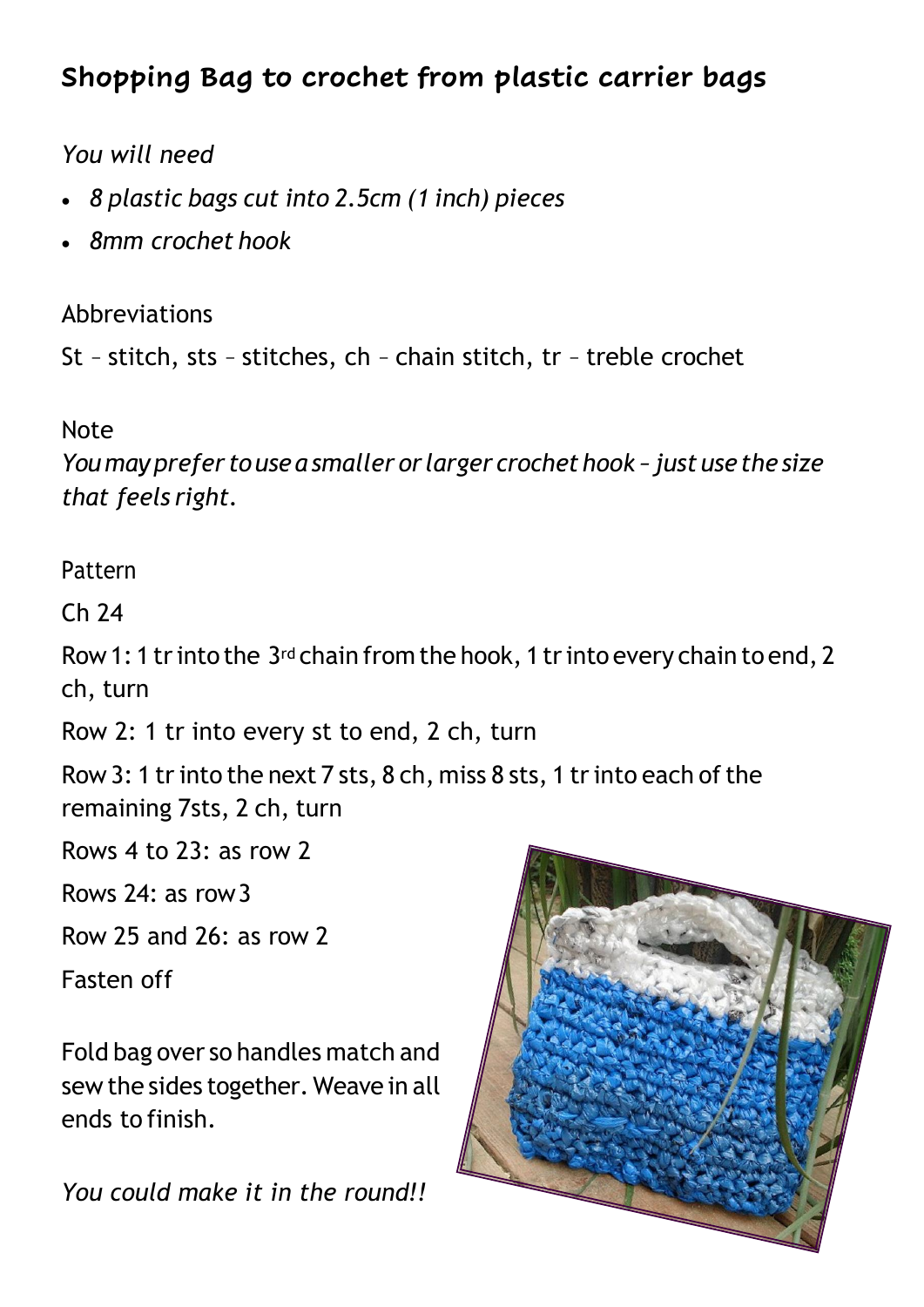#### **Shopping Bag to crochet from plastic carrier bags**

#### *You will need*

- *8 plastic bags cut into 2.5cm (1 inch) pieces*
- *8mm crochet hook*

Abbreviations

St - stitch, sts - stitches, ch - chain stitch, tr - treble crochet

#### Note

*Youmayprefer touse a smaller or larger crochethook –just usethe size that feels right.*

#### Pattern

Ch 24

Row 1: 1 tr into the 3<sup>rd</sup> chain from the hook, 1 tr into every chain to end, 2 ch, turn

Row 2: 1 tr into every st to end, 2 ch, turn

Row 3: 1 tr into the next 7 sts, 8 ch, miss 8 sts, 1 tr into each of the remaining 7sts, 2 ch, turn

Rows 4 to 23: as row 2

Rows 24: as row3

Row 25 and 26: as row 2

Fasten off

Fold bag over so handles match and sew the sides together. Weave in all ends to finish.

*You could make it in the round!!*

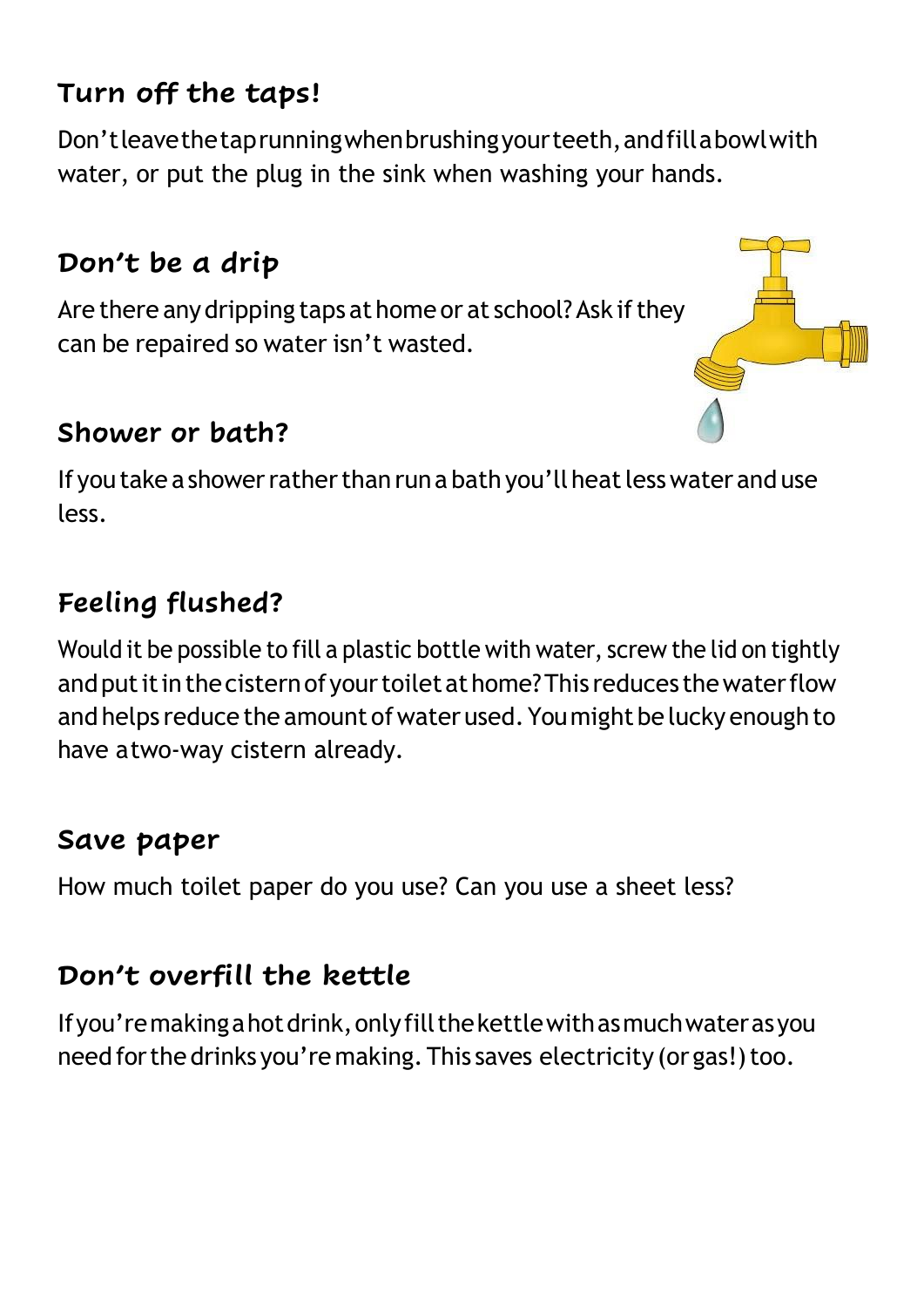#### **Turn off the taps!**

Don'tleavethetaprunningwhenbrushingyourteeth,andfillabowlwith water, or put the plug in the sink when washing your hands.

#### **Don't be a drip**

Are there any dripping taps at home or at school? Ask if they can be repaired so water isn't wasted.

#### **Shower or bath?**

If you take a shower rather than run a bath you'll heat less water and use less.

#### **Feeling flushed?**

Would it be possible to fill a plastic bottle with water, screw the lid on tightly and put it in the cistern of your toilet at home? This reduces the water flow and helps reduce the amount of water used. You might be lucky enough to have atwo-way cistern already.

#### **Save paper**

How much toilet paper do you use? Can you use a sheet less?

#### **Don't overfill the kettle**

Ifyou'remakingahotdrink,onlyfillthekettlewithasmuchwaterasyou need for the drinks you're making. This saves electricity (or gas!) too.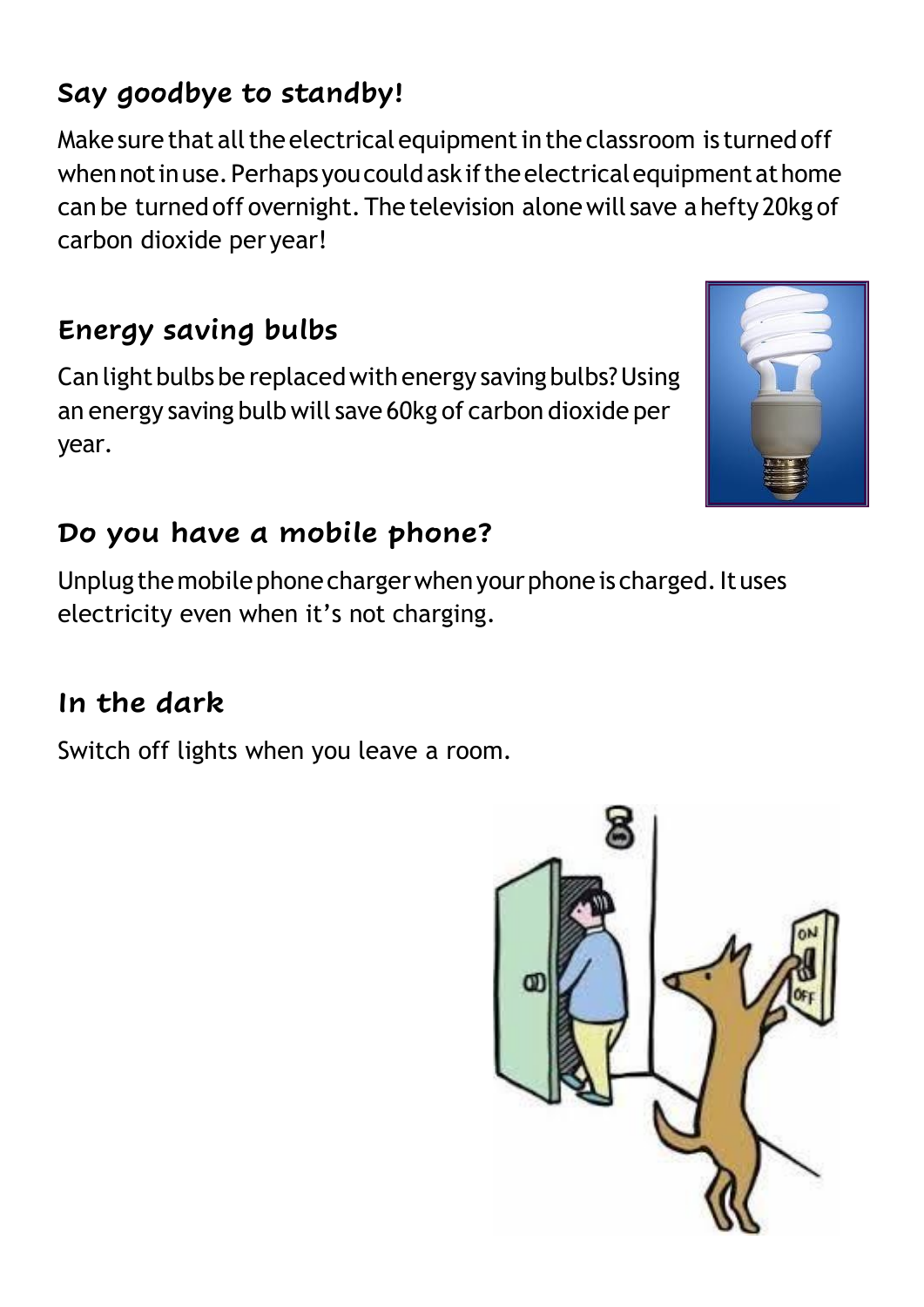#### **Say goodbye to standby!**

Make sure that all the electrical equipment in the classroom is turned off when not in use. Perhaps you could ask if the electrical equipment at home can be turnedoff overnight.The television alonewill save a hefty 20kg of carbon dioxide per year!

#### **Energy saving bulbs**

Can light bulbs be replaced with energy saving bulbs? Using an energy saving bulb will save 60kg of carbon dioxide per year.

#### **Do you have a mobile phone?**

Unplug the mobile phone charger when your phone is charged. It uses electricity even when it's not charging.

#### **In the dark**

Switch off lights when you leave a room.



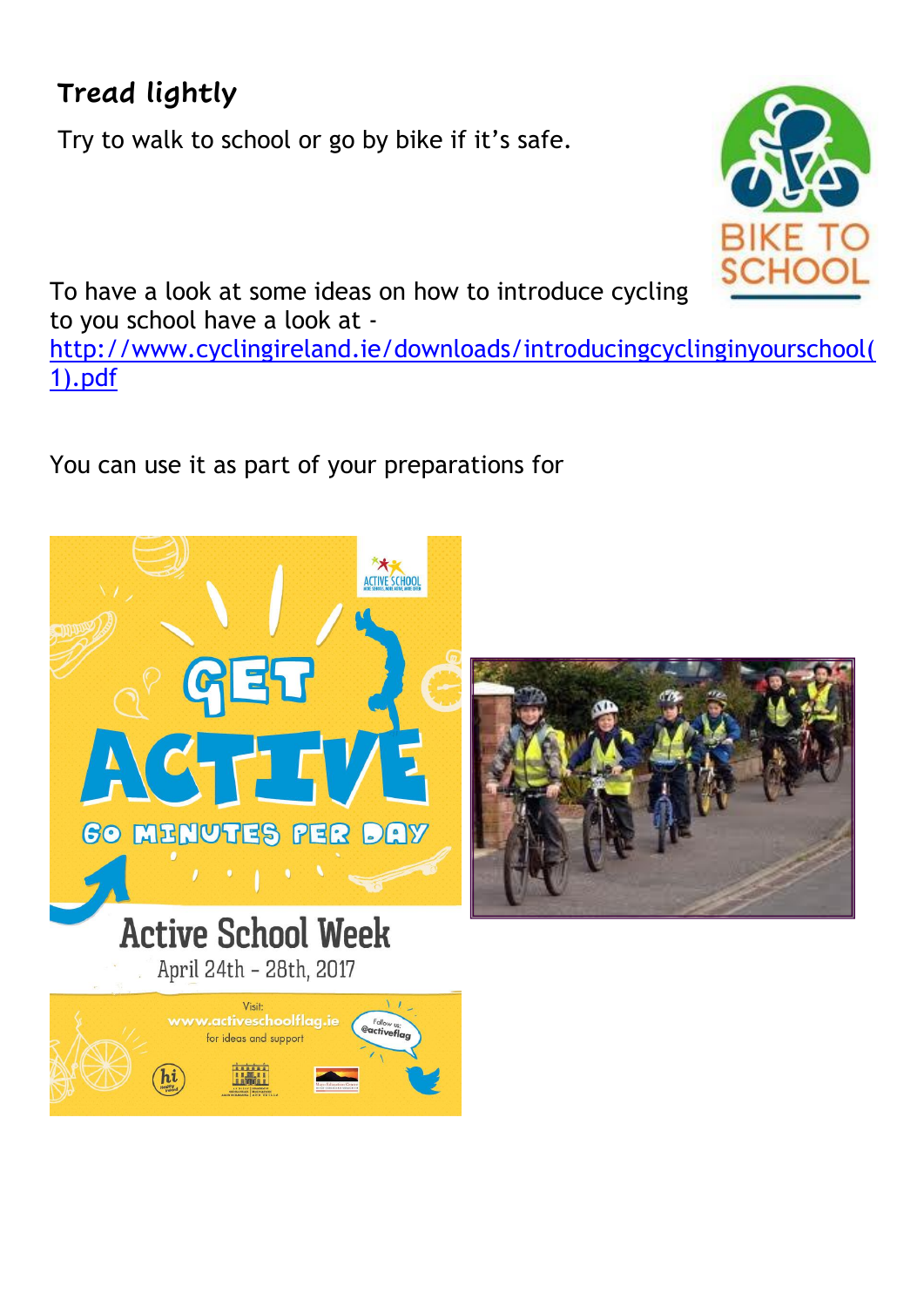#### **Tread lightly**

Try to walk to school or go by bike if it's safe.



To have a look at some ideas on how to introduce cycling to you school have a look at -

[http://www.cyclingireland.ie/downloads/introducingcyclinginyourschool\(](http://www.cyclingireland.ie/downloads/introducingcyclinginyourschool(1).pdf) [1\).pdf](http://www.cyclingireland.ie/downloads/introducingcyclinginyourschool(1).pdf)

You can use it as part of your preparations for

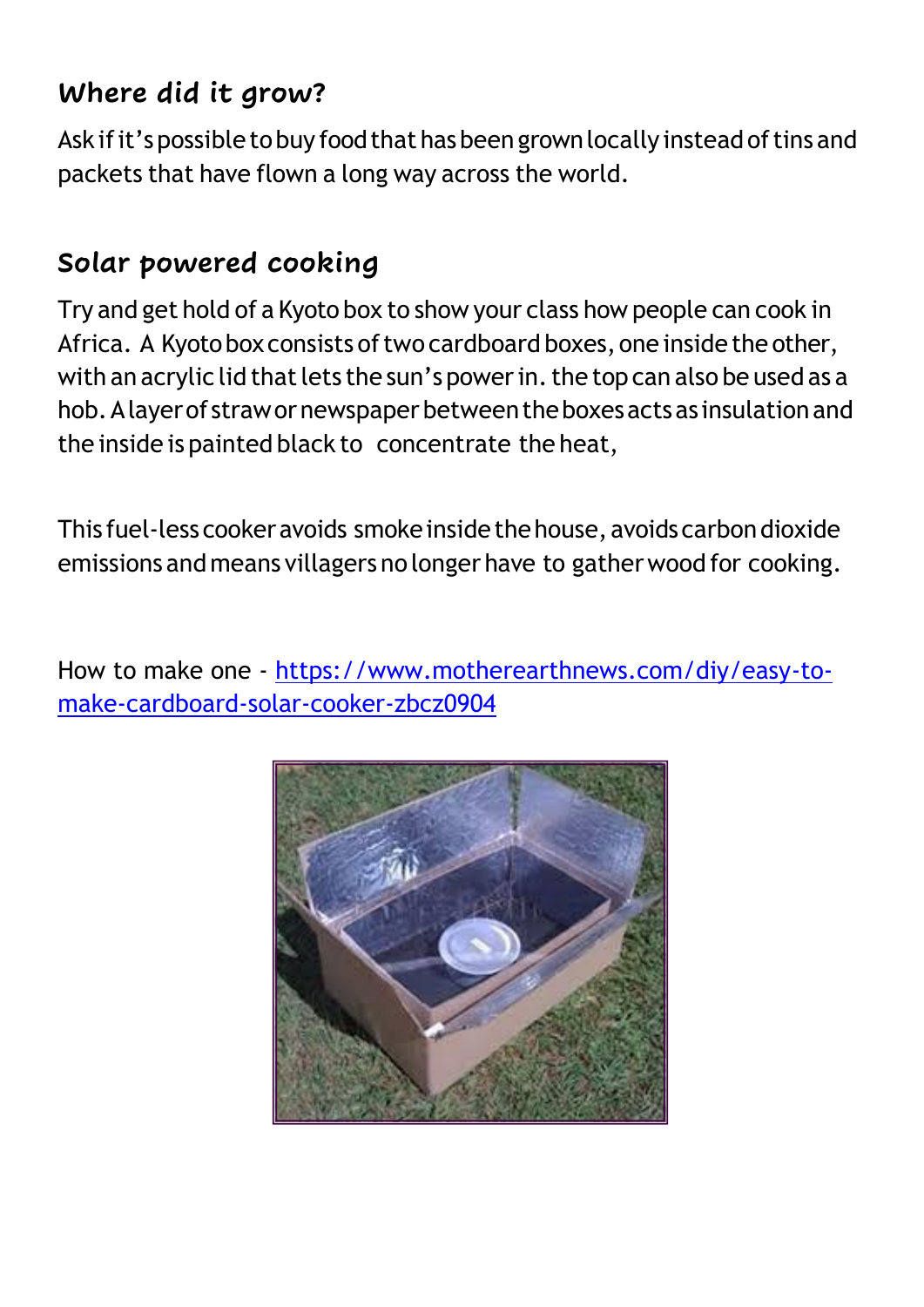#### **Where did it grow?**

Ask if it's possible to buy food that has been grown locally instead of tins and packets that have flown a long way across the world.

#### **Solar powered cooking**

Try and get hold of a Kyoto box to show your class how people can cook in Africa. A Kyoto box consists of two cardboard boxes, one inside the other, with an acrylic lid that lets the sun's power in. the top can also be used as a hob.Alayerof strawornewspaperbetweentheboxesactsas insulationand the inside is painted black to concentrate the heat,

This fuel-less cooker avoids smoke inside the house, avoids carbon dioxide emissions andmeans villagers no longer have to gatherwood for cooking.

How to make one - [https://www.motherearthnews.com/diy/easy-to](https://www.motherearthnews.com/diy/easy-to-make-cardboard-solar-cooker-zbcz0904)[make-cardboard-solar-cooker-zbcz0904](https://www.motherearthnews.com/diy/easy-to-make-cardboard-solar-cooker-zbcz0904)

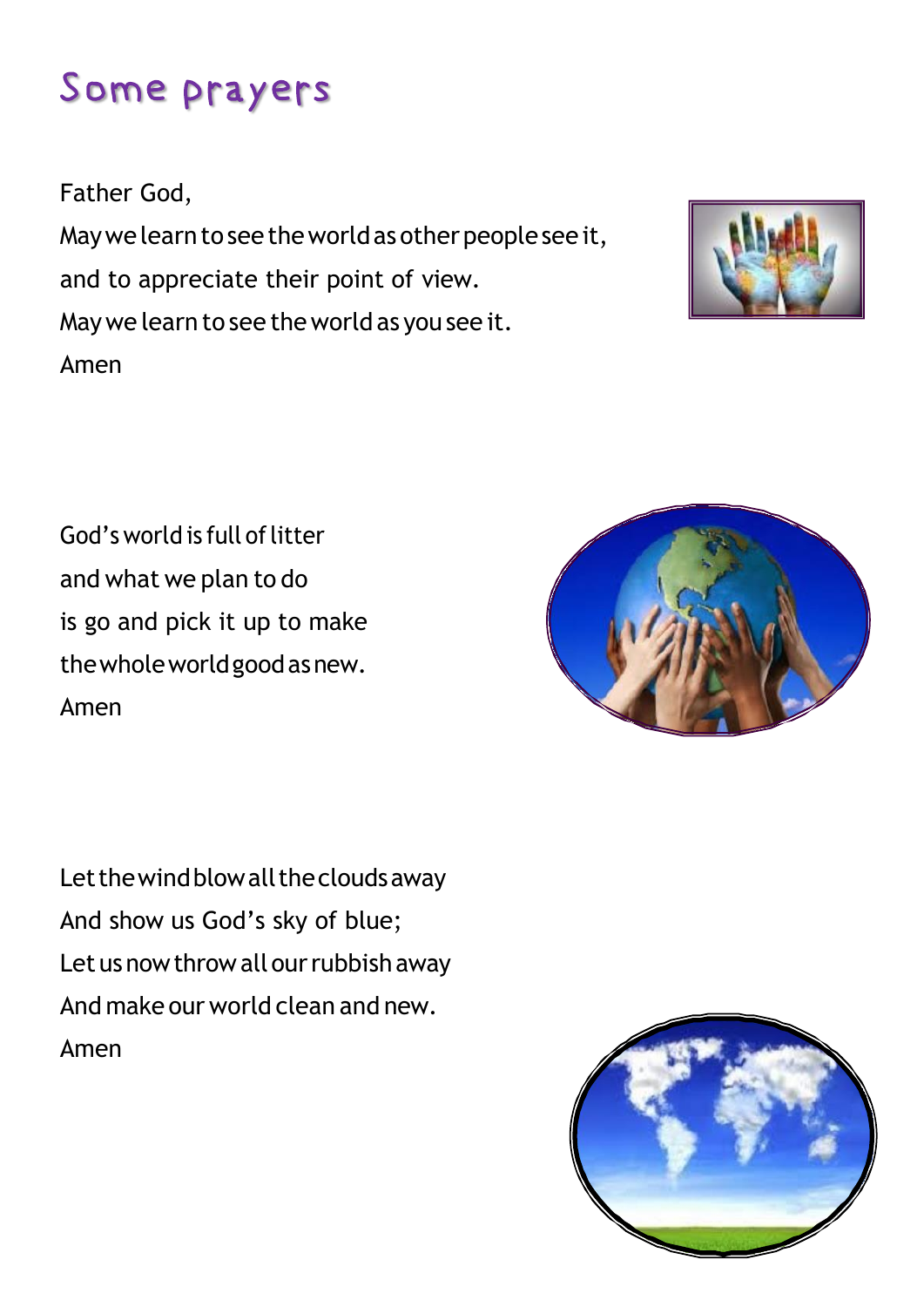### Some prayers

Father God,

May we learn to see the world as other people see it, and to appreciate their point of view. Maywe learn to see theworld as you see it. Amen



God's world is full of litter and what we plan to do is go and pick it up to make thewholeworldgoodasnew. Amen

Let the wind blow all the clouds away And show us God's sky of blue; Let us now throw all our rubbish away And make our world clean and new. Amen

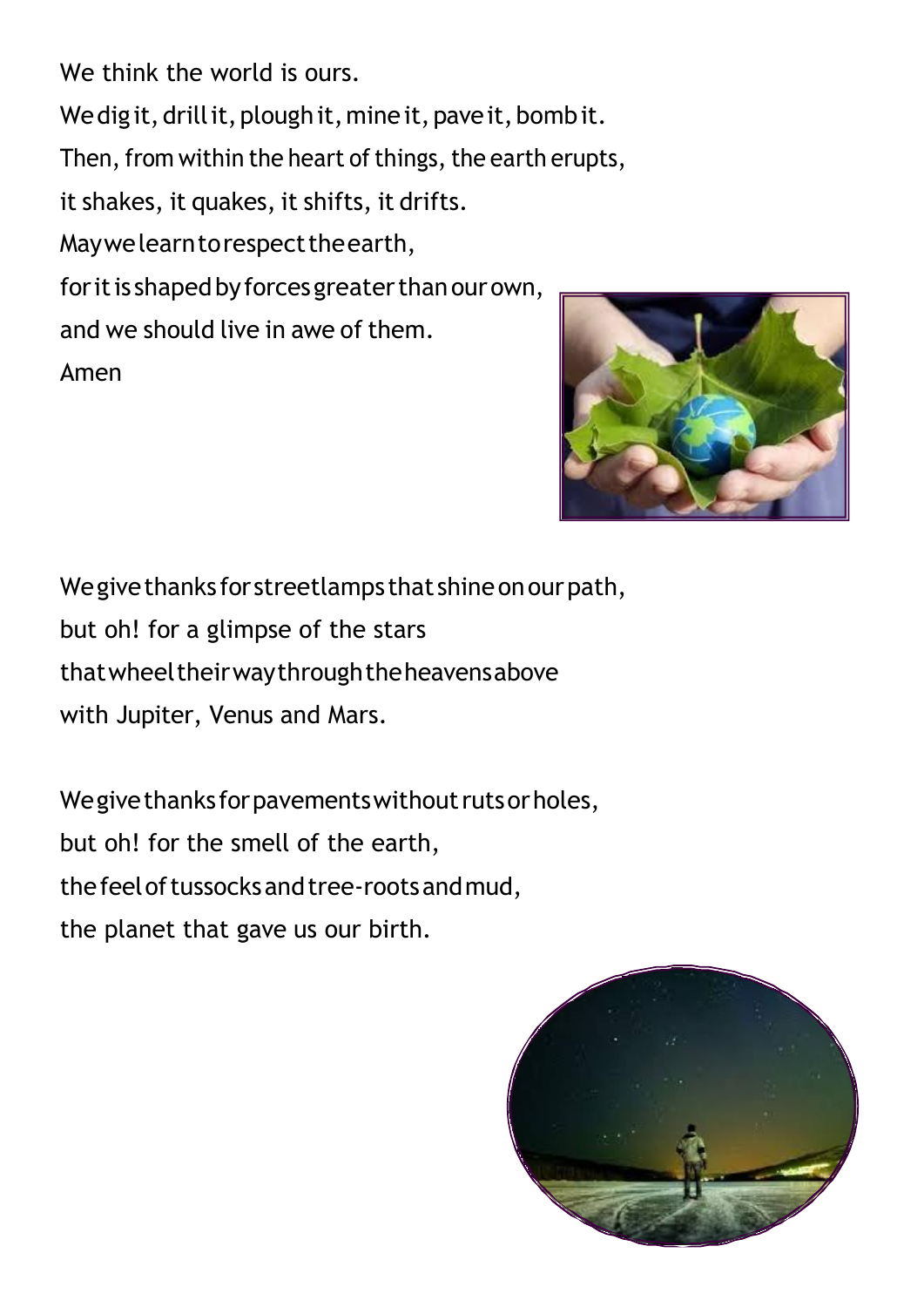We think the world is ours. We dig it, drill it, plough it, mine it, pave it, bomb it. Then, from within the heart of things, the earth erupts, it shakes, it quakes, it shifts, it drifts. May we learn to respect the earth, for it is shaped by forces greater than our own, and we should live in awe of them. Amen



We give thanks for streetlamps that shine on our path, but oh! for a glimpse of the stars thatwheeltheirwaythroughtheheavensabove with Jupiter, Venus and Mars.

We give thanks for pavements without ruts or holes, but oh! for the smell of the earth, the feel of tussocks and tree-roots and mud, the planet that gave us our birth.